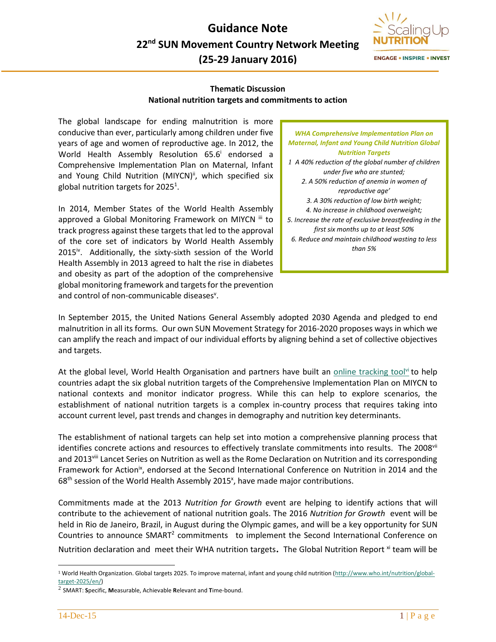

**ENGAGE . INSPIRE . INVEST** 

## **Thematic Discussion National nutrition targets and commitments to action**

The global landscape for ending malnutrition is more conducive than ever, particularly among children under five years of age and women of reproductive age. In 2012, the World Health Assembly Resolution 65.6<sup>i</sup> endorsed a Comprehensive Implementation Plan on Maternal, Infant and Young Child Nutrition (MIYCN)<sup>ii</sup>, which specified six global nutrition targets for 2025<sup>1</sup>.

In 2014, Member States of the World Health Assembly approved a Global Monitoring Framework on MIYCN iii to track progress against these targets that led to the approval of the core set of indicators by World Health Assembly 2015<sup>iv</sup>. Additionally, the sixty-sixth session of the World Health Assembly in 2013 agreed to halt the rise in diabetes and obesity as part of the adoption of the comprehensive global monitoring framework and targets for the prevention and control of non-communicable diseases<sup>v</sup>.

*WHA Comprehensive Implementation Plan on Maternal, Infant and Young Child Nutrition Global Nutrition Targets 1 A 40% reduction of the global number of children under five who are stunted; 2. A 50% reduction of anemia in women of reproductive age' 3. A 30% reduction of low birth weight; 4. No increase in childhood overweight; 5. Increase the rate of exclusive breastfeeding in the first six months up to at least 50% 6. Reduce and maintain childhood wasting to less than 5%* 

In September 2015, the United Nations General Assembly adopted 2030 Agenda and pledged to end malnutrition in all its forms. Our own SUN Movement Strategy for 2016-2020 proposes ways in which we can amplify the reach and impact of our individual efforts by aligning behind a set of collective objectives and targets.

At the global level, World Health Organisation and partners have built an [online tracking tool](https://extranet.who.int/sree/Reports?op=vs&path=%2FWHO_HQ_Reports/G16/PROD/EXT/Targets_MenuV3&VSPARAM_varLanguage=E&VSPARAM_varISOCODE=ALB)<sup>vi</sup> to help countries adapt the six global nutrition targets of the Comprehensive Implementation Plan on MIYCN to national contexts and monitor indicator progress. While this can help to explore scenarios, the establishment of national nutrition targets is a complex in-country process that requires taking into account current level, past trends and changes in demography and nutrition key determinants.

The establishment of national targets can help set into motion a comprehensive planning process that identifies concrete actions and resources to effectively translate commitments into results. The 2008<sup>vii</sup> and 2013<sup>viii</sup> Lancet Series on Nutrition as well as the Rome Declaration on Nutrition and its corresponding Framework for Action<sup>ix</sup>, endorsed at the Second International Conference on Nutrition in 2014 and the  $68<sup>th</sup>$  session of the World Health Assembly 2015<sup>x</sup>, have made major contributions.

Commitments made at the 2013 *Nutrition for Growth* event are helping to identify actions that will contribute to the achievement of national nutrition goals. The 2016 *Nutrition for Growth* event will be held in Rio de Janeiro, Brazil, in August during the Olympic games, and will be a key opportunity for SUN Countries to announce SMART<sup>2</sup> commitments to implement the Second International Conference on

Nutrition declaration and meet their WHA nutrition targets. The Global Nutrition Report <sup>xi</sup> team will be

 $\overline{a}$ 

<sup>&</sup>lt;sup>1</sup> World Health Organization. Global targets 2025. To improve maternal, infant and young child nutrition [\(http://www.who.int/nutrition/global](http://www.who.int/nutrition/global-target-2025/en/)[target-2025/en/\)](http://www.who.int/nutrition/global-target-2025/en/)

<sup>2</sup> SMART: **S**pecific, **M**easurable, Achievable **R**elevant and **T**ime-bound.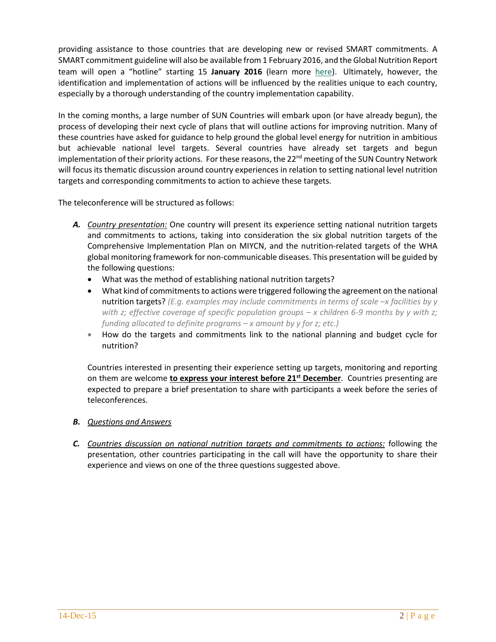providing assistance to those countries that are developing new or revised SMART commitments. A SMART commitment guideline will also be available from 1 February 2016, and the Global Nutrition Report team will open a "hotline" starting 15 **January 2016** (learn more [here\)](http://globalnutritionreport.org/2015/12/07/smart-commitment-gnr-hotline/). Ultimately, however, the identification and implementation of actions will be influenced by the realities unique to each country, especially by a thorough understanding of the country implementation capability.

In the coming months, a large number of SUN Countries will embark upon (or have already begun), the process of developing their next cycle of plans that will outline actions for improving nutrition. Many of these countries have asked for guidance to help ground the global level energy for nutrition in ambitious but achievable national level targets. Several countries have already set targets and begun implementation of their priority actions. For these reasons, the 22<sup>nd</sup> meeting of the SUN Country Network will focus its thematic discussion around country experiences in relation to setting national level nutrition targets and corresponding commitments to action to achieve these targets.

The teleconference will be structured as follows:

- *A. Country presentation:* One country will present its experience setting national nutrition targets and commitments to actions, taking into consideration the six global nutrition targets of the Comprehensive Implementation Plan on MIYCN, and the nutrition-related targets of the WHA global monitoring framework for non-communicable diseases. This presentation will be guided by the following questions:
	- What was the method of establishing national nutrition targets?
	- What kind of commitments to actions were triggered following the agreement on the national nutrition targets? (*E.g. examples may include commitments in terms of scale -x facilities by y with z; effective coverage of specific population groups – x children 6-9 months by y with z; funding allocated to definite programs – x amount by y for z; etc.)*
	- How do the targets and commitments link to the national planning and budget cycle for nutrition?

Countries interested in presenting their experience setting up targets, monitoring and reporting on them are welcome **to express your interest before 21st December**. Countries presenting are expected to prepare a brief presentation to share with participants a week before the series of teleconferences.

- *B. Questions and Answers*
- *C. Countries discussion on national nutrition targets and commitments to actions:* following the presentation, other countries participating in the call will have the opportunity to share their experience and views on one of the three questions suggested above.